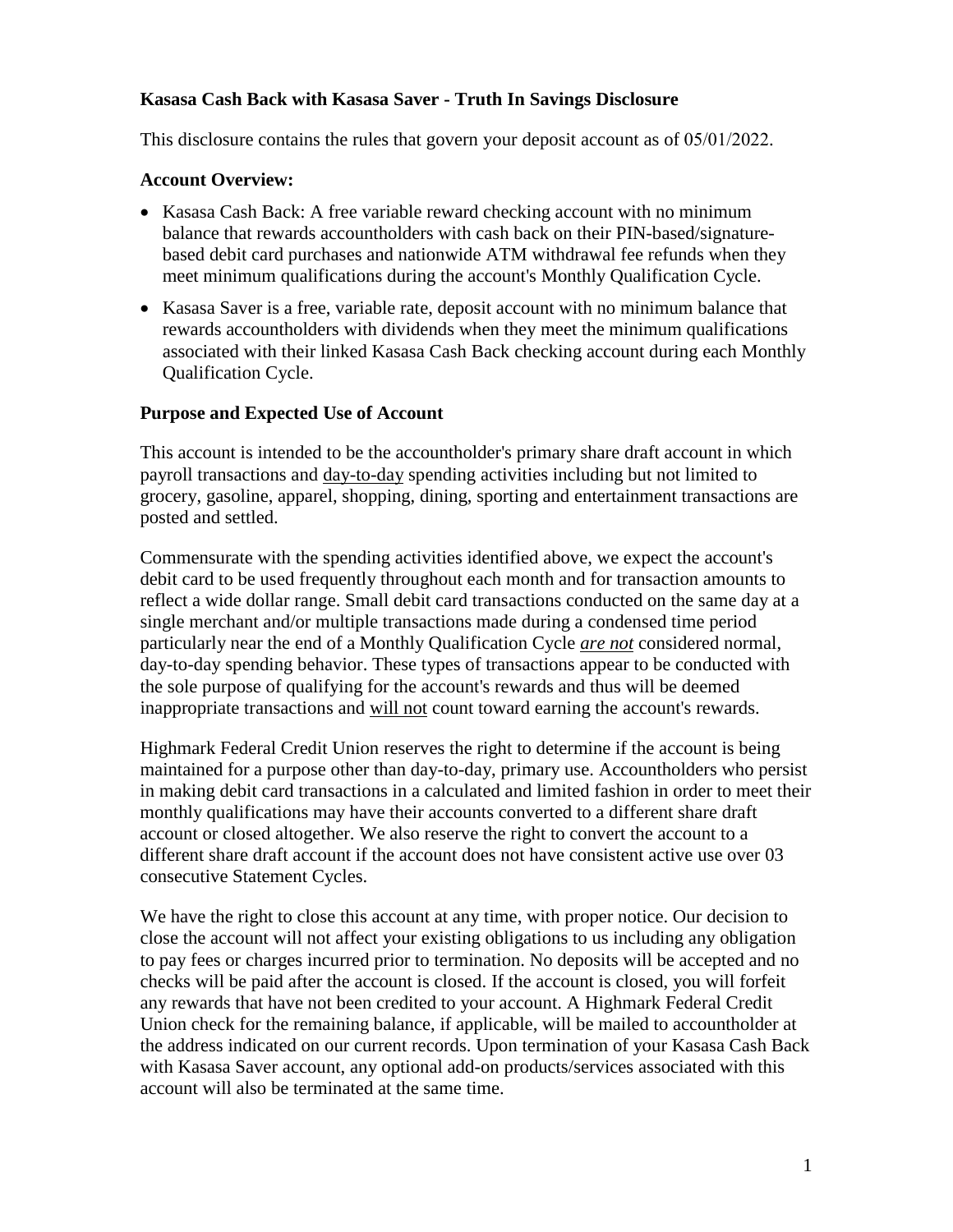#### **Kasasa Cash Back with Kasasa Saver - Truth In Savings Disclosure**

This disclosure contains the rules that govern your deposit account as of 05/01/2022.

#### **Account Overview:**

- Kasasa Cash Back: A free variable reward checking account with no minimum balance that rewards accountholders with cash back on their PIN-based/signaturebased debit card purchases and nationwide ATM withdrawal fee refunds when they meet minimum qualifications during the account's Monthly Qualification Cycle.
- Kasasa Saver is a free, variable rate, deposit account with no minimum balance that rewards accountholders with dividends when they meet the minimum qualifications associated with their linked Kasasa Cash Back checking account during each Monthly Qualification Cycle.

#### **Purpose and Expected Use of Account**

This account is intended to be the accountholder's primary share draft account in which payroll transactions and day-to-day spending activities including but not limited to grocery, gasoline, apparel, shopping, dining, sporting and entertainment transactions are posted and settled.

Commensurate with the spending activities identified above, we expect the account's debit card to be used frequently throughout each month and for transaction amounts to reflect a wide dollar range. Small debit card transactions conducted on the same day at a single merchant and/or multiple transactions made during a condensed time period particularly near the end of a Monthly Qualification Cycle *are not* considered normal, day-to-day spending behavior. These types of transactions appear to be conducted with the sole purpose of qualifying for the account's rewards and thus will be deemed inappropriate transactions and will not count toward earning the account's rewards.

Highmark Federal Credit Union reserves the right to determine if the account is being maintained for a purpose other than day-to-day, primary use. Accountholders who persist in making debit card transactions in a calculated and limited fashion in order to meet their monthly qualifications may have their accounts converted to a different share draft account or closed altogether. We also reserve the right to convert the account to a different share draft account if the account does not have consistent active use over 03 consecutive Statement Cycles.

We have the right to close this account at any time, with proper notice. Our decision to close the account will not affect your existing obligations to us including any obligation to pay fees or charges incurred prior to termination. No deposits will be accepted and no checks will be paid after the account is closed. If the account is closed, you will forfeit any rewards that have not been credited to your account. A Highmark Federal Credit Union check for the remaining balance, if applicable, will be mailed to accountholder at the address indicated on our current records. Upon termination of your Kasasa Cash Back with Kasasa Saver account, any optional add-on products/services associated with this account will also be terminated at the same time.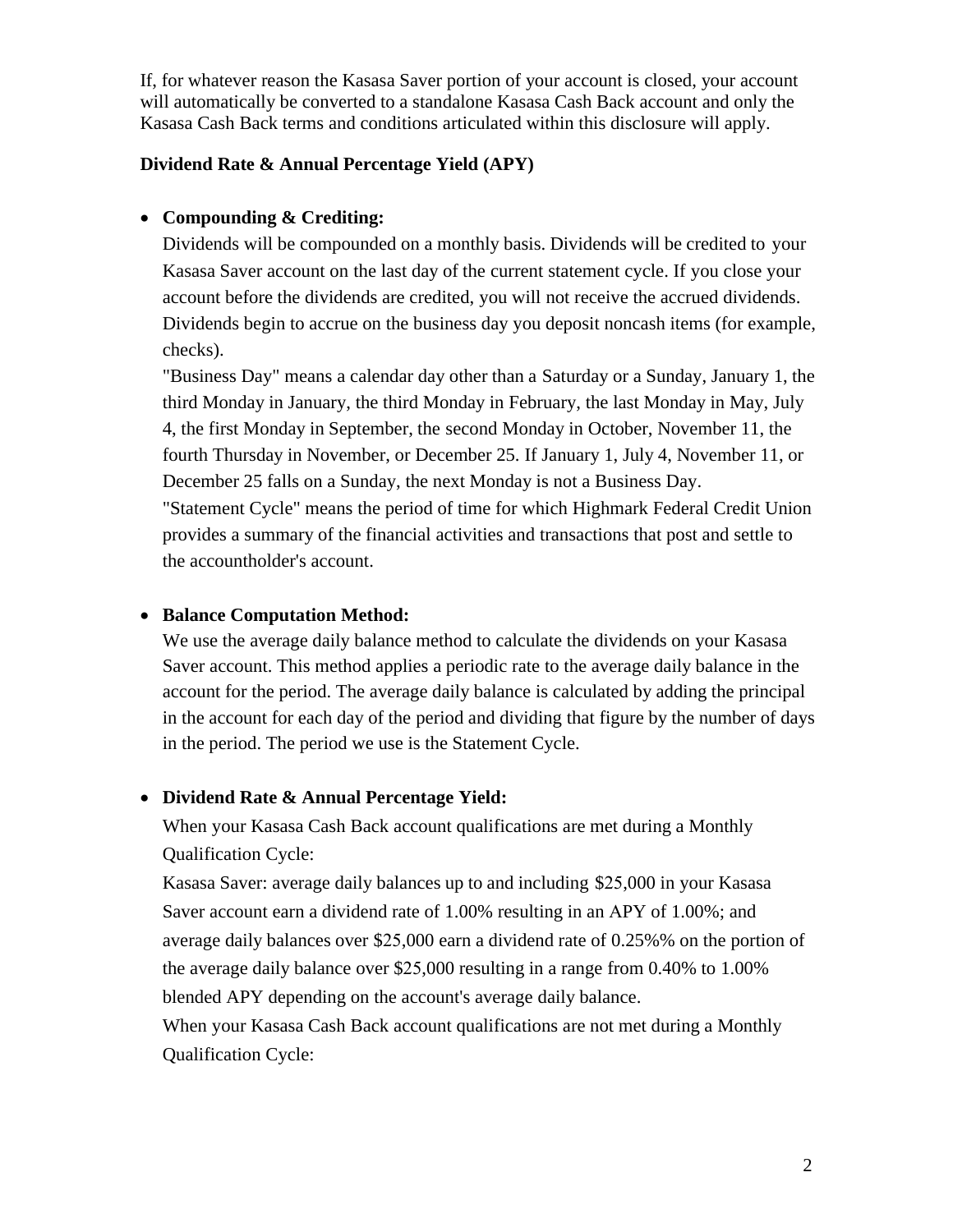If, for whatever reason the Kasasa Saver portion of your account is closed, your account will automatically be converted to a standalone Kasasa Cash Back account and only the Kasasa Cash Back terms and conditions articulated within this disclosure will apply.

#### **Dividend Rate & Annual Percentage Yield (APY)**

### • **Compounding & Crediting:**

Dividends will be compounded on a monthly basis. Dividends will be credited to your Kasasa Saver account on the last day of the current statement cycle. If you close your account before the dividends are credited, you will not receive the accrued dividends. Dividends begin to accrue on the business day you deposit noncash items (for example, checks).

"Business Day" means a calendar day other than a Saturday or a Sunday, January 1, the third Monday in January, the third Monday in February, the last Monday in May, July 4, the first Monday in September, the second Monday in October, November 11, the fourth Thursday in November, or December 25. If January 1, July 4, November 11, or December 25 falls on a Sunday, the next Monday is not a Business Day. "Statement Cycle" means the period of time for which Highmark Federal Credit Union provides a summary of the financial activities and transactions that post and settle to the accountholder's account.

### • **Balance Computation Method:**

We use the average daily balance method to calculate the dividends on your Kasasa Saver account. This method applies a periodic rate to the average daily balance in the account for the period. The average daily balance is calculated by adding the principal in the account for each day of the period and dividing that figure by the number of days in the period. The period we use is the Statement Cycle.

### • **Dividend Rate & Annual Percentage Yield:**

When your Kasasa Cash Back account qualifications are met during a Monthly Qualification Cycle:

Kasasa Saver: average daily balances up to and including \$25,000 in your Kasasa Saver account earn a dividend rate of 1.00% resulting in an APY of 1.00%; and average daily balances over \$25,000 earn a dividend rate of 0.25%% on the portion of the average daily balance over \$25,000 resulting in a range from 0.40% to 1.00% blended APY depending on the account's average daily balance.

When your Kasasa Cash Back account qualifications are not met during a Monthly Qualification Cycle: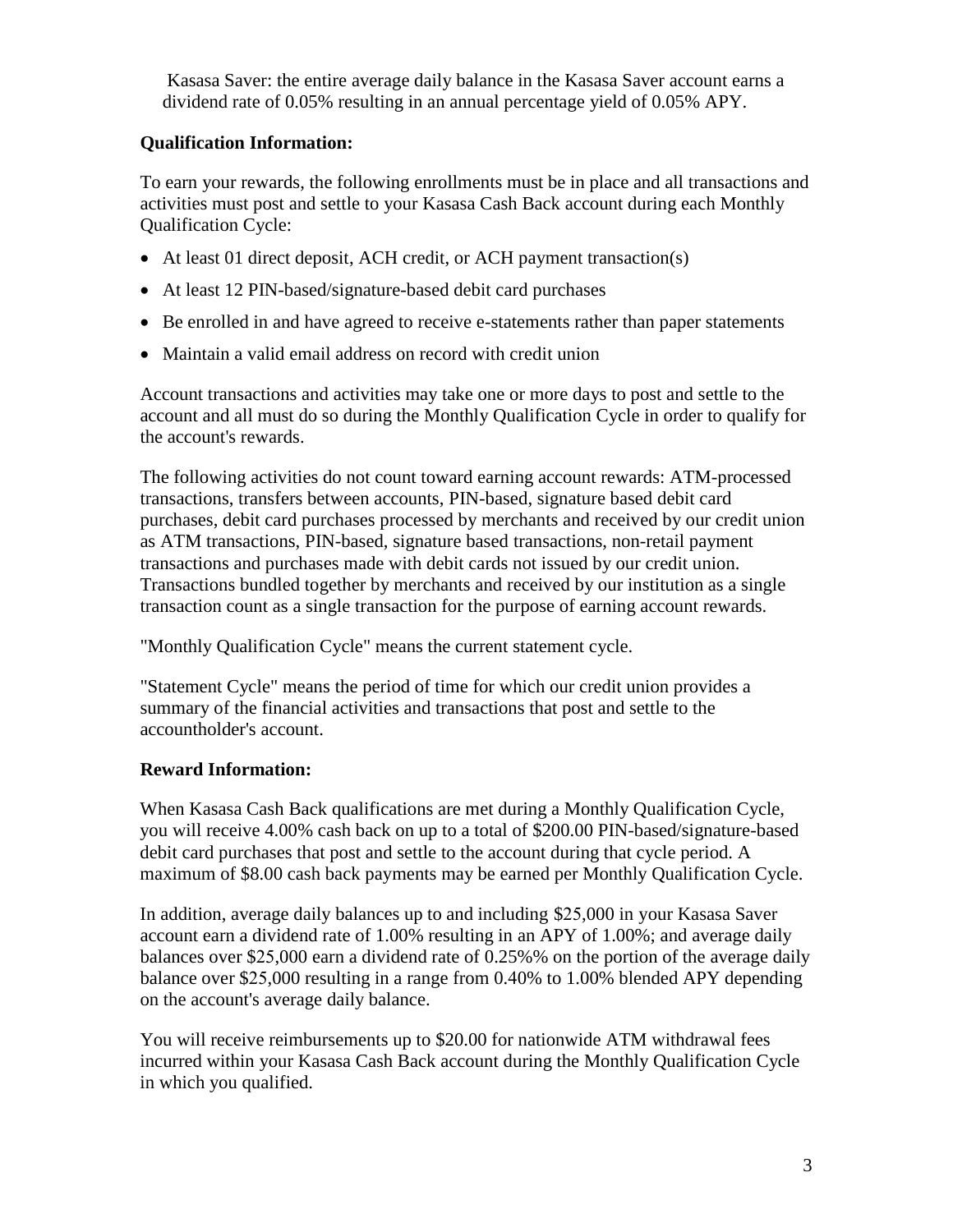Kasasa Saver: the entire average daily balance in the Kasasa Saver account earns a dividend rate of 0.05% resulting in an annual percentage yield of 0.05% APY.

## **Qualification Information:**

To earn your rewards, the following enrollments must be in place and all transactions and activities must post and settle to your Kasasa Cash Back account during each Monthly Qualification Cycle:

- At least 01 direct deposit, ACH credit, or ACH payment transaction(s)
- At least 12 PIN-based/signature-based debit card purchases
- Be enrolled in and have agreed to receive e-statements rather than paper statements
- Maintain a valid email address on record with credit union

Account transactions and activities may take one or more days to post and settle to the account and all must do so during the Monthly Qualification Cycle in order to qualify for the account's rewards.

The following activities do not count toward earning account rewards: ATM-processed transactions, transfers between accounts, PIN-based, signature based debit card purchases, debit card purchases processed by merchants and received by our credit union as ATM transactions, PIN-based, signature based transactions, non-retail payment transactions and purchases made with debit cards not issued by our credit union. Transactions bundled together by merchants and received by our institution as a single transaction count as a single transaction for the purpose of earning account rewards.

"Monthly Qualification Cycle" means the current statement cycle.

"Statement Cycle" means the period of time for which our credit union provides a summary of the financial activities and transactions that post and settle to the accountholder's account.

# **Reward Information:**

When Kasasa Cash Back qualifications are met during a Monthly Qualification Cycle, you will receive 4.00% cash back on up to a total of \$200.00 PIN-based/signature-based debit card purchases that post and settle to the account during that cycle period. A maximum of \$8.00 cash back payments may be earned per Monthly Qualification Cycle.

In addition, average daily balances up to and including \$25,000 in your Kasasa Saver account earn a dividend rate of 1.00% resulting in an APY of 1.00%; and average daily balances over \$25,000 earn a dividend rate of 0.25%% on the portion of the average daily balance over \$25,000 resulting in a range from 0.40% to 1.00% blended APY depending on the account's average daily balance.

You will receive reimbursements up to \$20.00 for nationwide ATM withdrawal fees incurred within your Kasasa Cash Back account during the Monthly Qualification Cycle in which you qualified.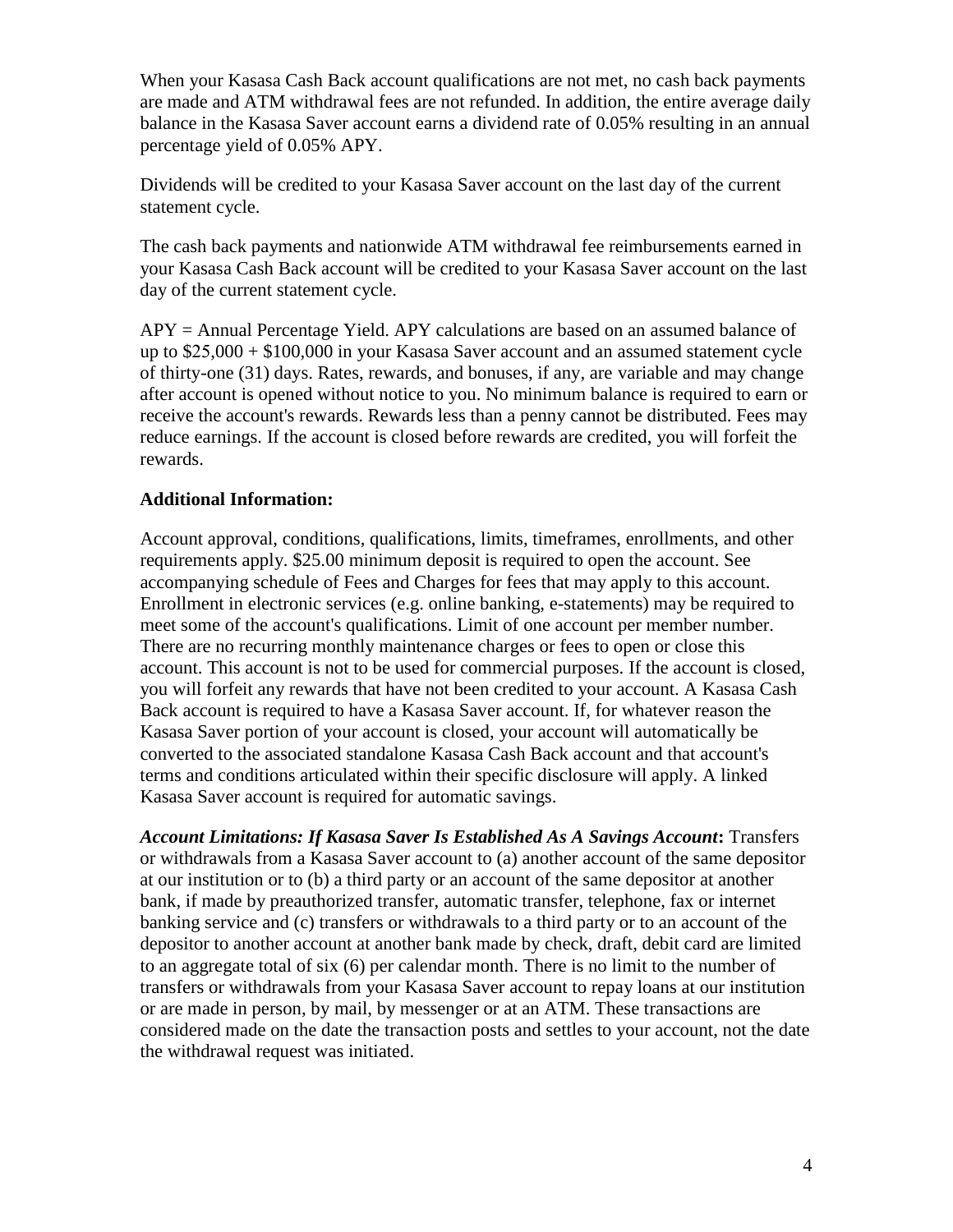When your Kasasa Cash Back account qualifications are not met, no cash back payments are made and ATM withdrawal fees are not refunded. In addition, the entire average daily balance in the Kasasa Saver account earns a dividend rate of 0.05% resulting in an annual percentage yield of 0.05% APY.

Dividends will be credited to your Kasasa Saver account on the last day of the current statement cycle.

The cash back payments and nationwide ATM withdrawal fee reimbursements earned in your Kasasa Cash Back account will be credited to your Kasasa Saver account on the last day of the current statement cycle.

 $APY =$  Annual Percentage Yield. APY calculations are based on an assumed balance of up to \$25,000 + \$100,000 in your Kasasa Saver account and an assumed statement cycle of thirty-one (31) days. Rates, rewards, and bonuses, if any, are variable and may change after account is opened without notice to you. No minimum balance is required to earn or receive the account's rewards. Rewards less than a penny cannot be distributed. Fees may reduce earnings. If the account is closed before rewards are credited, you will forfeit the rewards.

### **Additional Information:**

Account approval, conditions, qualifications, limits, timeframes, enrollments, and other requirements apply. \$25.00 minimum deposit is required to open the account. See accompanying schedule of Fees and Charges for fees that may apply to this account. Enrollment in electronic services (e.g. online banking, e-statements) may be required to meet some of the account's qualifications. Limit of one account per member number. There are no recurring monthly maintenance charges or fees to open or close this account. This account is not to be used for commercial purposes. If the account is closed, you will forfeit any rewards that have not been credited to your account. A Kasasa Cash Back account is required to have a Kasasa Saver account. If, for whatever reason the Kasasa Saver portion of your account is closed, your account will automatically be converted to the associated standalone Kasasa Cash Back account and that account's terms and conditions articulated within their specific disclosure will apply. A linked Kasasa Saver account is required for automatic savings.

*Account Limitations: If Kasasa Saver Is Established As A Savings Account***:** Transfers or withdrawals from a Kasasa Saver account to (a) another account of the same depositor at our institution or to (b) a third party or an account of the same depositor at another bank, if made by preauthorized transfer, automatic transfer, telephone, fax or internet banking service and (c) transfers or withdrawals to a third party or to an account of the depositor to another account at another bank made by check, draft, debit card are limited to an aggregate total of six (6) per calendar month. There is no limit to the number of transfers or withdrawals from your Kasasa Saver account to repay loans at our institution or are made in person, by mail, by messenger or at an ATM. These transactions are considered made on the date the transaction posts and settles to your account, not the date the withdrawal request was initiated.